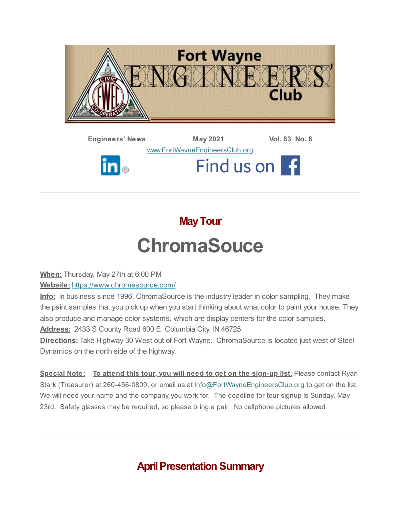

**Engineers' News May 2021 Vol. 83 No. 8** [www.FortWayneEngineersClub.org](http://www.fortwayneengineersclub.org/) Find us on f  $\mathbf{in}_{\circledcirc}$ 

# **MayTour ChromaSouce**

**When:** Thursday, May 27th at 6:00 PM

**Website:** <https://www.chromasource.com/>

**Info:** In business since 1996, ChromaSource is the industry leader in color sampling. They make the paint samples that you pick up when you start thinking about what color to paint your house. They also produce and manage color systems, which are display centers for the color samples. **Address:** 2433 S County Road 600 E Columbia City, IN 46725

**Directions:** Take Highway 30 West out of Fort Wayne. ChromaSource is located just west of Steel Dynamics on the north side of the highway.

**Special Note: To attend this tour, you will need to get on the sign-up list.** Please contact Ryan Stark (Treasurer) at 260-456-0809, or email us at [Info@FortWayneEngineersClub.org](mailto:info@fortwayneengineersclub.org) to get on the list. We will need your name and the company you work for. The deadline for tour signup is Sunday, May 23rd. Safety glasses may be required, so please bring a pair. No cellphone pictures allowed

**April Presentation Summary**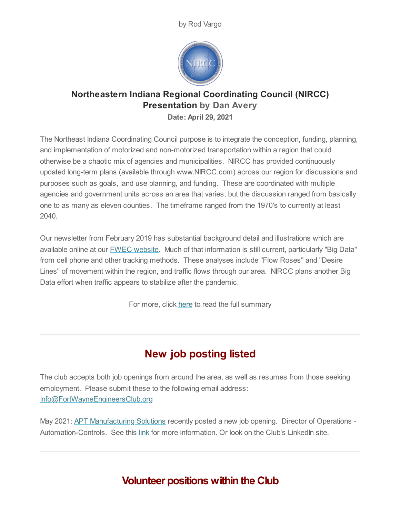by Rod Vargo



## **Northeastern Indiana Regional Coordinating Council (NIRCC) Presentation by Dan Avery**

**Date: April 29, 2021**

The Northeast Indiana Coordinating Council purpose is to integrate the conception, funding, planning, and implementation of motorized and non-motorized transportation within a region that could otherwise be a chaotic mix of agencies and municipalities. NIRCC has provided continuously updated long-term plans (available through www.NIRCC.com) across our region for discussions and purposes such as goals, land use planning, and funding. These are coordinated with multiple agencies and government units across an area that varies, but the discussion ranged from basically one to as many as eleven counties. The timeframe ranged from the 1970's to currently at least 2040.

Our newsletter from February 2019 has substantial background detail and illustrations which are available online at our FWEC [website.](https://fortwayneengineersclub.org/newsletter/201902FWECnewsletter.pdf) Much of that information is still current, particularly "Big Data" from cell phone and other tracking methods. These analyses include "Flow Roses" and "Desire Lines" of movement within the region, and traffic flows through our area. NIRCC plans another Big Data effort when traffic appears to stabilize after the pandemic.

For more, click [here](#page-4-0) to read the full summary

# **New job posting listed**

The club accepts both job openings from around the area, as well as resumes from those seeking employment. Please submit these to the following email address: [Info@FortWayneEngineersClub.org](mailto:info@fortwayneengineersclub.org)

May 2021: APT [Manufacturing](https://aptmfg.com/) Solutions recently posted a new job opening. Director of Operations Automation-Controls. See this [link](https://secure4.entertimeonline.com/ta/6150467.careers?CareersSearch) for more information. Or look on the Club's LinkedIn site.

## **Volunteer positions within the Club**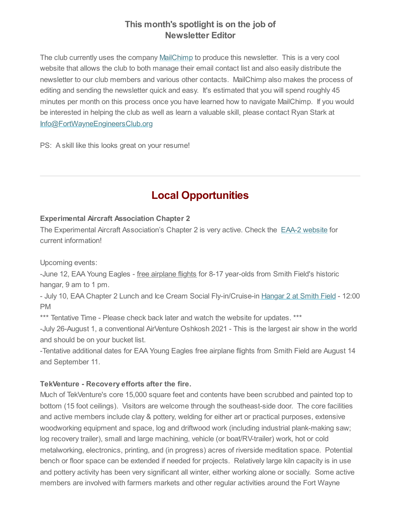#### **This month's spotlight is on the job of Newsletter Editor**

The club currently uses the company [MailChimp](https://mailchimp.com/) to produce this newsletter. This is a very cool website that allows the club to both manage their email contact list and also easily distribute the newsletter to our club members and various other contacts. MailChimp also makes the process of editing and sending the newsletter quick and easy. It's estimated that you will spend roughly 45 minutes per month on this process once you have learned how to navigate MailChimp. If you would be interested in helping the club as well as learn a valuable skill, please contact Ryan Stark at [Info@FortWayneEngineersClub.org](mailto:info@fortwayneengineersclub.org)

PS: A skill like this looks great on your resume!

# **Local Opportunities**

#### **Experimental Aircraft Association Chapter 2**

The Experimental Aircraft Association's Chapter 2 is very active. Check the EAA-2 [website](https://www.eaa2.org/young_eagles.php) for current information!

Upcoming events:

-June 12, EAA Young Eagles - free airplane flights for 8-17 year-olds from Smith Field's historic hangar, 9 am to 1 pm.

- July 10, EAA Chapter 2 Lunch and Ice Cream Social Fly-in/Cruise-in [Hangar](https://www.google.com/maps/place/426+West+Ludwig+Rd,+Fort+Wayne,+IN+46825) 2 at Smith Field - 12:00 PM

\*\*\* Tentative Time - Please check back later and watch the website for updates. \*\*\*

-July 26-August 1, a conventional AirVenture Oshkosh 2021 - This is the largest air show in the world and should be on your bucket list.

-Tentative additional dates for EAA Young Eagles free airplane flights from Smith Field are August 14 and September 11.

#### **TekVenture - Recovery efforts after the fire.**

Much of TekVenture's core 15,000 square feet and contents have been scrubbed and painted top to bottom (15 foot ceilings). Visitors are welcome through the southeast-side door. The core facilities and active members include clay & pottery, welding for either art or practical purposes, extensive woodworking equipment and space, log and driftwood work (including industrial plank-making saw; log recovery trailer), small and large machining, vehicle (or boat/RV-trailer) work, hot or cold metalworking, electronics, printing, and (in progress) acres of riverside meditation space. Potential bench or floor space can be extended if needed for projects. Relatively large kiln capacity is in use and pottery activity has been very significant all winter, either working alone or socially. Some active members are involved with farmers markets and other regular activities around the Fort Wayne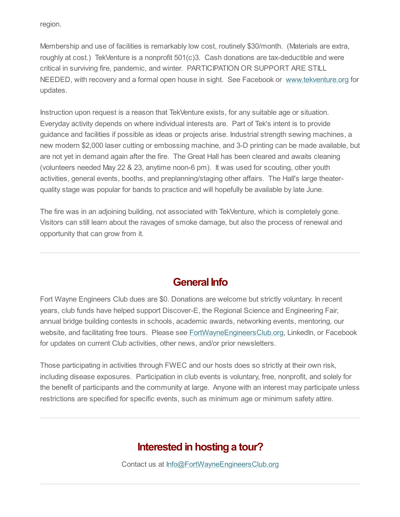region.

Membership and use of facilities is remarkably low cost, routinely \$30/month. (Materials are extra, roughly at cost.) TekVenture is a nonprofit 501(c)3. Cash donations are tax-deductible and were critical in surviving fire, pandemic, and winter. PARTICIPATION OR SUPPORT ARE STILL NEEDED, with recovery and a formal open house in sight. See Facebook or [www.tekventure.org](http://www.tekventure.org/) for updates.

Instruction upon request is a reason that TekVenture exists, for any suitable age or situation. Everyday activity depends on where individual interests are. Part of Tek's intent is to provide guidance and facilities if possible as ideas or projects arise. Industrial strength sewing machines, a new modern \$2,000 laser cutting or embossing machine, and 3-D printing can be made available, but are not yet in demand again after the fire. The Great Hall has been cleared and awaits cleaning (volunteers needed May 22 & 23, anytime noon-6 pm). It was used for scouting, other youth activities, general events, booths, and preplanning/staging other affairs. The Hall's large theaterquality stage was popular for bands to practice and will hopefully be available by late June.

The fire was in an adjoining building, not associated with TekVenture, which is completely gone. Visitors can still learn about the ravages of smoke damage, but also the process of renewal and opportunity that can grow from it.

#### **General Info**

Fort Wayne Engineers Club dues are \$0. Donations are welcome but strictly voluntary. In recent years, club funds have helped support Discover-E, the Regional Science and Engineering Fair, annual bridge building contests in schools, academic awards, networking events, mentoring, our website, and facilitating free tours. Please see [FortWayneEngineersClub.org](http://fortwayneengineersclub.org/), LinkedIn, or Facebook for updates on current Club activities, other news, and/or prior newsletters.

Those participating in activities through FWEC and our hosts does so strictly at their own risk, including disease exposures. Participation in club events is voluntary, free, nonprofit, and solely for the benefit of participants and the community at large. Anyone with an interest may participate unless restrictions are specified for specific events, such as minimum age or minimum safety attire.

# **Interested in hosting a tour?**

Contact us at [Info@FortWayneEngineersClub.org](mailto:info@fortwayneengineersclub.org)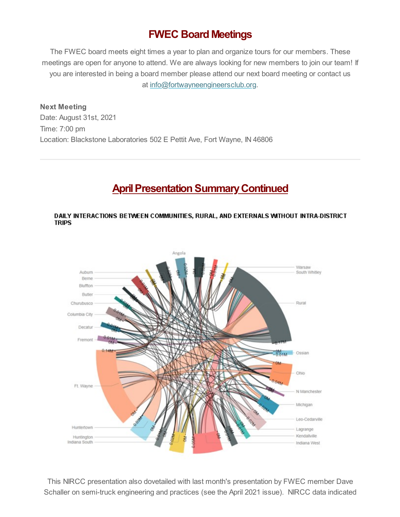# **FWEC Board Meetings**

The FWEC board meets eight times a year to plan and organize tours for our members. These meetings are open for anyone to attend. We are always looking for new members to join our team! If you are interested in being a board member please attend our next board meeting or contact us at [info@fortwayneengineersclub.org.](mailto:info@fortwayneengineersclub.org)

**Next Meeting** Date: August 31st, 2021 Time: 7:00 pm Location: Blackstone Laboratories 502 E Pettit Ave, Fort Wayne, IN 46806

## <span id="page-4-0"></span>**April Presentation Summary Continued**

#### DAILY INTERACTIONS BETWEEN COMMUNITIES, RURAL, AND EXTERNALS WITHOUT INTRA-DISTRICT **TRIPS**



This NIRCC presentation also dovetailed with last month's presentation by FWEC member Dave Schaller on semi-truck engineering and practices (see the April 2021 issue). NIRCC data indicated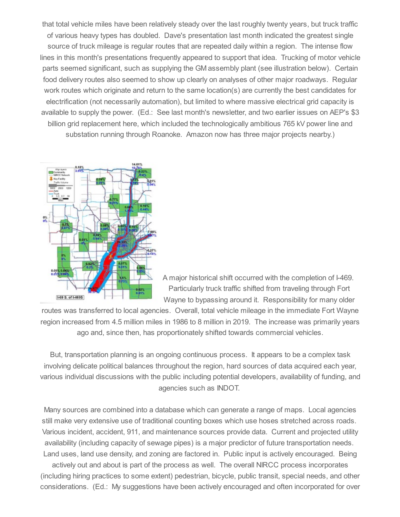that total vehicle miles have been relatively steady over the last roughly twenty years, but truck traffic of various heavy types has doubled. Dave's presentation last month indicated the greatest single source of truck mileage is regular routes that are repeated daily within a region. The intense flow lines in this month's presentations frequently appeared to support that idea. Trucking of motor vehicle parts seemed significant, such as supplying the GM assembly plant (see illustration below). Certain food delivery routes also seemed to show up clearly on analyses of other major roadways. Regular work routes which originate and return to the same location(s) are currently the best candidates for electrification (not necessarily automation), but limited to where massive electrical grid capacity is available to supply the power. (Ed.: See last month's newsletter, and two earlier issues on AEP's \$3 billion grid replacement here, which included the technologically ambitious 765 kV power line and substation running through Roanoke. Amazon now has three major projects nearby.)



A major historical shift occurred with the completion of I-469. Particularly truck traffic shifted from traveling through Fort Wayne to bypassing around it. Responsibility for many older

routes was transferred to local agencies. Overall, total vehicle mileage in the immediate Fort Wayne region increased from 4.5 million miles in 1986 to 8 million in 2019. The increase was primarily years ago and, since then, has proportionately shifted towards commercial vehicles.

But, transportation planning is an ongoing continuous process. It appears to be a complex task involving delicate political balances throughout the region, hard sources of data acquired each year, various individual discussions with the public including potential developers, availability of funding, and agencies such as INDOT.

Many sources are combined into a database which can generate a range of maps. Local agencies still make very extensive use of traditional counting boxes which use hoses stretched across roads. Various incident, accident, 911, and maintenance sources provide data. Current and projected utility availability (including capacity of sewage pipes) is a major predictor of future transportation needs. Land uses, land use density, and zoning are factored in. Public input is actively encouraged. Being actively out and about is part of the process as well. The overall NIRCC process incorporates (including hiring practices to some extent) pedestrian, bicycle, public transit, special needs, and other considerations. (Ed.: My suggestions have been actively encouraged and often incorporated for over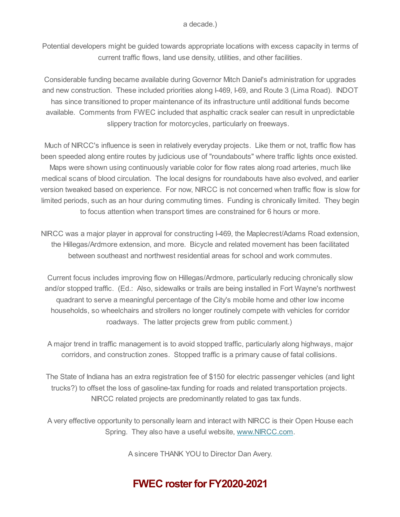Potential developers might be guided towards appropriate locations with excess capacity in terms of current traffic flows, land use density, utilities, and other facilities.

Considerable funding became available during Governor Mitch Daniel's administration for upgrades and new construction. These included priorities along I-469, I-69, and Route 3 (Lima Road). INDOT has since transitioned to proper maintenance of its infrastructure until additional funds become available. Comments from FWEC included that asphaltic crack sealer can result in unpredictable slippery traction for motorcycles, particularly on freeways.

Much of NIRCC's influence is seen in relatively everyday projects. Like them or not, traffic flow has been speeded along entire routes by judicious use of "roundabouts" where traffic lights once existed. Maps were shown using continuously variable color for flow rates along road arteries, much like medical scans of blood circulation. The local designs for roundabouts have also evolved, and earlier version tweaked based on experience. For now, NIRCC is not concerned when traffic flow is slow for limited periods, such as an hour during commuting times. Funding is chronically limited. They begin to focus attention when transport times are constrained for 6 hours or more.

NIRCC was a major player in approval for constructing I-469, the Maplecrest/Adams Road extension, the Hillegas/Ardmore extension, and more. Bicycle and related movement has been facilitated between southeast and northwest residential areas for school and work commutes.

Current focus includes improving flow on Hillegas/Ardmore, particularly reducing chronically slow and/or stopped traffic. (Ed.: Also, sidewalks or trails are being installed in Fort Wayne's northwest quadrant to serve a meaningful percentage of the City's mobile home and other low income households, so wheelchairs and strollers no longer routinely compete with vehicles for corridor roadways. The latter projects grew from public comment.)

A major trend in traffic management is to avoid stopped traffic, particularly along highways, major corridors, and construction zones. Stopped traffic is a primary cause of fatal collisions.

The State of Indiana has an extra registration fee of \$150 for electric passenger vehicles (and light trucks?) to offset the loss of gasoline-tax funding for roads and related transportation projects. NIRCC related projects are predominantly related to gas tax funds.

A very effective opportunity to personally learn and interact with NIRCC is their Open House each Spring. They also have a useful website, [www.NIRCC.com](https://www.nircc.com/).

A sincere THANK YOU to Director Dan Avery.

# **FWEC rosterfor FY2020-2021**